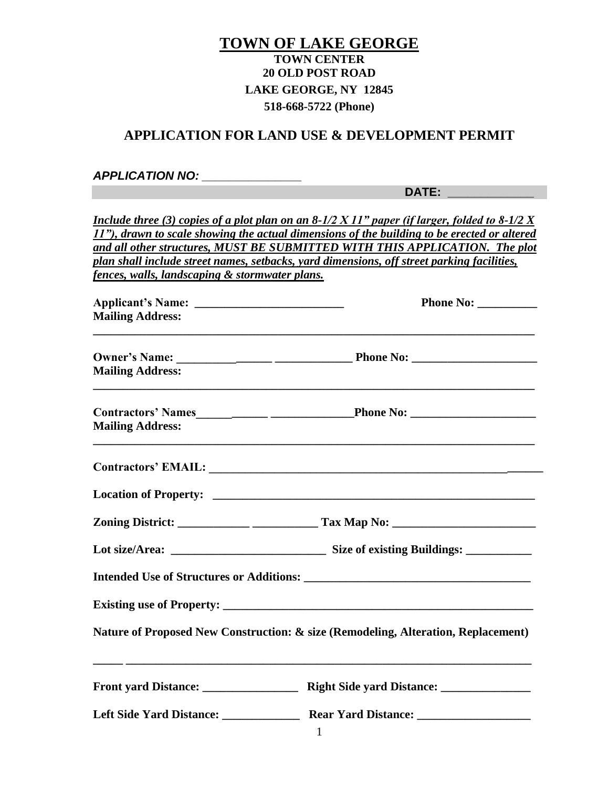### **TOWN OF LAKE GEORGE TOWN CENTER 20 OLD POST ROAD LAKE GEORGE, NY 12845 518-668-5722 (Phone)**

### **APPLICATION FOR LAND USE & DEVELOPMENT PERMIT**

#### *APPLICATION NO: \_\_\_\_\_\_\_\_\_\_\_\_\_\_\_*

**DATE: \_\_\_\_\_\_\_\_\_\_\_\_\_**

*Include three (3) copies of a plot plan on an 8-1/2 X 11" paper (if larger, folded to 8-1/2 X 11"), drawn to scale showing the actual dimensions of the building to be erected or altered and all other structures, MUST BE SUBMITTED WITH THIS APPLICATION. The plot plan shall include street names, setbacks, yard dimensions, off street parking facilities, fences, walls, landscaping & stormwater plans.* 

| <b>Mailing Address:</b> |                                                                                   |
|-------------------------|-----------------------------------------------------------------------------------|
| <b>Mailing Address:</b> |                                                                                   |
| <b>Mailing Address:</b> |                                                                                   |
|                         |                                                                                   |
|                         |                                                                                   |
|                         |                                                                                   |
|                         |                                                                                   |
|                         |                                                                                   |
|                         |                                                                                   |
|                         | Nature of Proposed New Construction: & size (Remodeling, Alteration, Replacement) |
|                         |                                                                                   |
|                         |                                                                                   |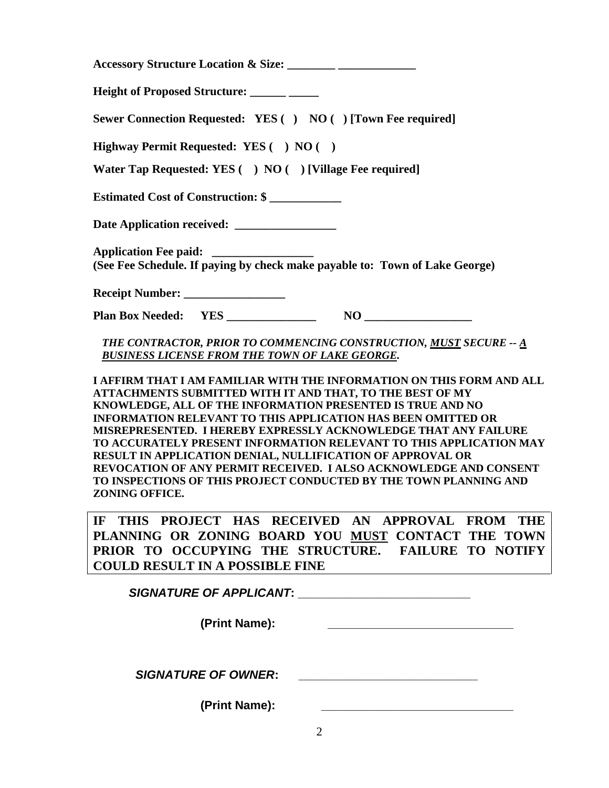| Height of Proposed Structure: ______ _____                                                                                                                                                                                                                                                                                                                                                                                                                                                                                                                                                                                                 |
|--------------------------------------------------------------------------------------------------------------------------------------------------------------------------------------------------------------------------------------------------------------------------------------------------------------------------------------------------------------------------------------------------------------------------------------------------------------------------------------------------------------------------------------------------------------------------------------------------------------------------------------------|
| Sewer Connection Requested: YES () NO () [Town Fee required]                                                                                                                                                                                                                                                                                                                                                                                                                                                                                                                                                                               |
| Highway Permit Requested: YES () NO ()                                                                                                                                                                                                                                                                                                                                                                                                                                                                                                                                                                                                     |
| Water Tap Requested: YES ( ) NO ( ) [Village Fee required]                                                                                                                                                                                                                                                                                                                                                                                                                                                                                                                                                                                 |
| Estimated Cost of Construction: \$                                                                                                                                                                                                                                                                                                                                                                                                                                                                                                                                                                                                         |
| Date Application received: _________________                                                                                                                                                                                                                                                                                                                                                                                                                                                                                                                                                                                               |
| (See Fee Schedule. If paying by check make payable to: Town of Lake George)                                                                                                                                                                                                                                                                                                                                                                                                                                                                                                                                                                |
|                                                                                                                                                                                                                                                                                                                                                                                                                                                                                                                                                                                                                                            |
|                                                                                                                                                                                                                                                                                                                                                                                                                                                                                                                                                                                                                                            |
| THE CONTRACTOR, PRIOR TO COMMENCING CONSTRUCTION, MUST SECURE -- A<br><b>BUSINESS LICENSE FROM THE TOWN OF LAKE GEORGE.</b>                                                                                                                                                                                                                                                                                                                                                                                                                                                                                                                |
| I AFFIRM THAT I AM FAMILIAR WITH THE INFORMATION ON THIS FORM AND ALL<br>ATTACHMENTS SUBMITTED WITH IT AND THAT, TO THE BEST OF MY<br>KNOWLEDGE, ALL OF THE INFORMATION PRESENTED IS TRUE AND NO<br><b>INFORMATION RELEVANT TO THIS APPLICATION HAS BEEN OMITTED OR</b><br>MISREPRESENTED. I HEREBY EXPRESSLY ACKNOWLEDGE THAT ANY FAILURE<br>TO ACCURATELY PRESENT INFORMATION RELEVANT TO THIS APPLICATION MAY<br>RESULT IN APPLICATION DENIAL, NULLIFICATION OF APPROVAL OR<br>REVOCATION OF ANY PERMIT RECEIVED. I ALSO ACKNOWLEDGE AND CONSENT<br>TO INSPECTIONS OF THIS PROJECT CONDUCTED BY THE TOWN PLANNING AND<br>ZONING OFFICE. |
| THIS PROJECT HAS RECEIVED AN APPROVAL FROM THE<br>IF<br>PLANNING OR ZONING BOARD YOU MUST CONTACT THE TOWN<br>PRIOR TO OCCUPYING THE STRUCTURE. FAILURE TO NOTIFY<br><b>COULD RESULT IN A POSSIBLE FINE</b>                                                                                                                                                                                                                                                                                                                                                                                                                                |
|                                                                                                                                                                                                                                                                                                                                                                                                                                                                                                                                                                                                                                            |
| (Print Name):                                                                                                                                                                                                                                                                                                                                                                                                                                                                                                                                                                                                                              |
| <b>SIGNATURE OF OWNER:</b>                                                                                                                                                                                                                                                                                                                                                                                                                                                                                                                                                                                                                 |
| (Print Name):<br><u> 1989 - Johann John Stone, mars et al. (</u>                                                                                                                                                                                                                                                                                                                                                                                                                                                                                                                                                                           |
| $\overline{2}$                                                                                                                                                                                                                                                                                                                                                                                                                                                                                                                                                                                                                             |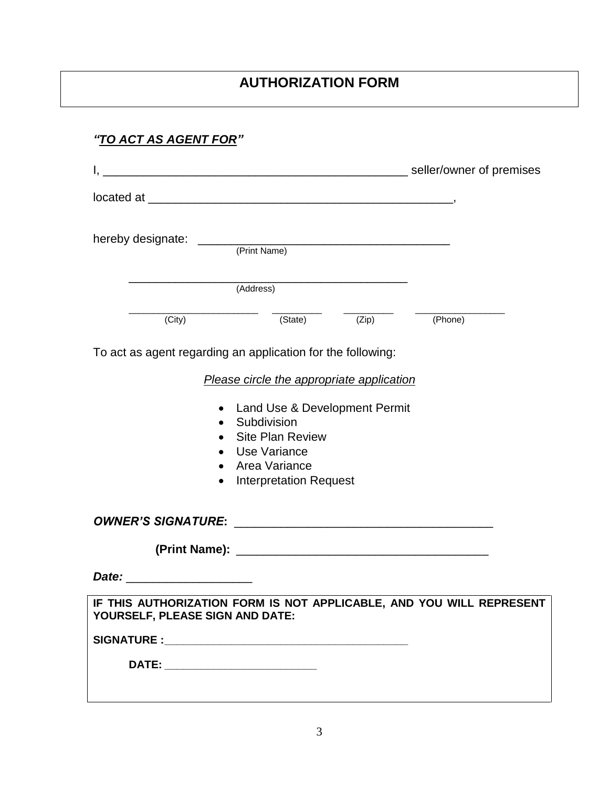## **AUTHORIZATION FORM**

# *"TO ACT AS AGENT FOR"*

| hereby designate:                                           | (Print Name)                                                                                                                                                                           |       |                                                                      |
|-------------------------------------------------------------|----------------------------------------------------------------------------------------------------------------------------------------------------------------------------------------|-------|----------------------------------------------------------------------|
|                                                             | (Address)                                                                                                                                                                              |       |                                                                      |
| (City)                                                      | (State)                                                                                                                                                                                | (Zip) | (Phone)                                                              |
| To act as agent regarding an application for the following: |                                                                                                                                                                                        |       |                                                                      |
| $\bullet$<br>$\bullet$                                      | Please circle the appropriate application<br>Land Use & Development Permit<br>Subdivision<br><b>Site Plan Review</b><br>Use Variance<br>Area Variance<br><b>Interpretation Request</b> |       |                                                                      |
|                                                             |                                                                                                                                                                                        |       |                                                                      |
|                                                             |                                                                                                                                                                                        |       |                                                                      |
| Date: ________________________                              |                                                                                                                                                                                        |       |                                                                      |
| YOURSELF, PLEASE SIGN AND DATE:                             |                                                                                                                                                                                        |       | IF THIS AUTHORIZATION FORM IS NOT APPLICABLE, AND YOU WILL REPRESENT |
|                                                             |                                                                                                                                                                                        |       |                                                                      |
| DATE: ___________________________                           |                                                                                                                                                                                        |       |                                                                      |